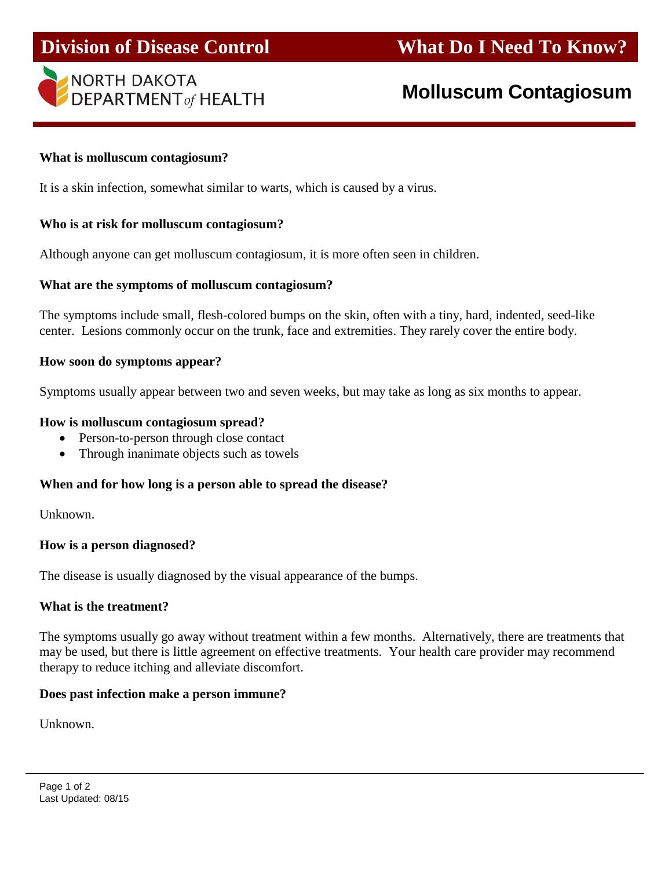



# **Molluscum Contagiosum**

#### **What is molluscum contagiosum?**

ı

It is a skin infection, somewhat similar to warts, which is caused by a virus.

#### **Who is at risk for molluscum contagiosum?**

Although anyone can get molluscum contagiosum, it is more often seen in children.

#### **What are the symptoms of molluscum contagiosum?**

The symptoms include small, flesh-colored bumps on the skin, often with a tiny, hard, indented, seed-like center. Lesions commonly occur on the trunk, face and extremities. They rarely cover the entire body.

#### **How soon do symptoms appear?**

Symptoms usually appear between two and seven weeks, but may take as long as six months to appear.

#### **How is molluscum contagiosum spread?**

- Person-to-person through close contact
- Through inanimate objects such as towels

### **When and for how long is a person able to spread the disease?**

Unknown.

### **How is a person diagnosed?**

The disease is usually diagnosed by the visual appearance of the bumps.

### **What is the treatment?**

The symptoms usually go away without treatment within a few months. Alternatively, there are treatments that may be used, but there is little agreement on effective treatments. Your health care provider may recommend therapy to reduce itching and alleviate discomfort.

### **Does past infection make a person immune?**

Unknown.